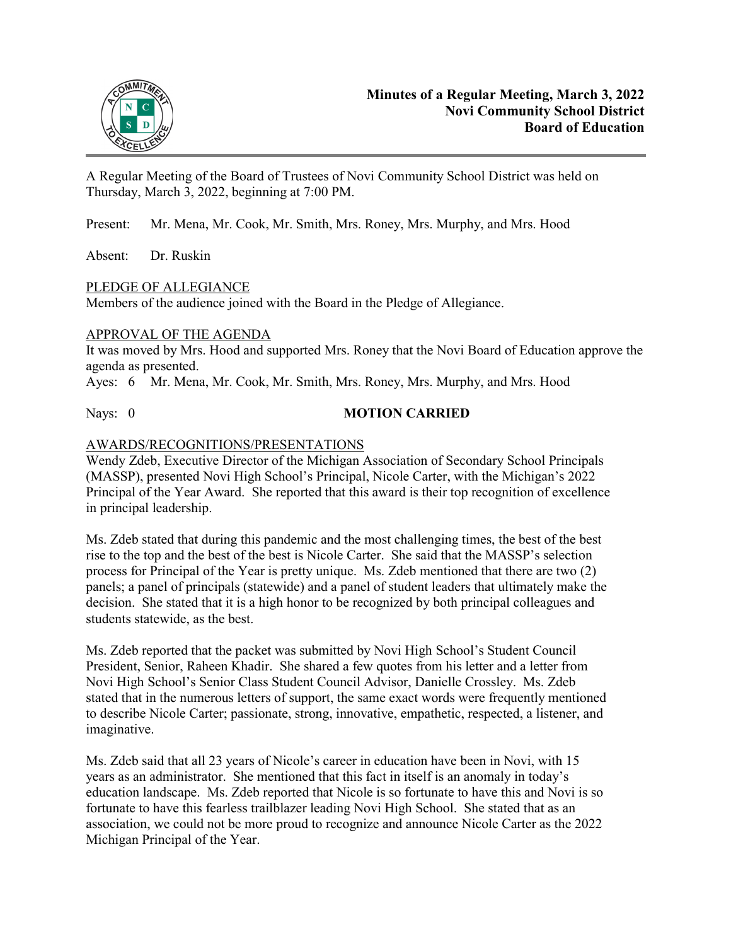

A Regular Meeting of the Board of Trustees of Novi Community School District was held on Thursday, March 3, 2022, beginning at 7:00 PM.

Present: Mr. Mena, Mr. Cook, Mr. Smith, Mrs. Roney, Mrs. Murphy, and Mrs. Hood

Absent: Dr. Ruskin

## PLEDGE OF ALLEGIANCE

Members of the audience joined with the Board in the Pledge of Allegiance.

## APPROVAL OF THE AGENDA

It was moved by Mrs. Hood and supported Mrs. Roney that the Novi Board of Education approve the agenda as presented.

Ayes: 6 Mr. Mena, Mr. Cook, Mr. Smith, Mrs. Roney, Mrs. Murphy, and Mrs. Hood

## Nays: 0 **MOTION CARRIED**

## AWARDS/RECOGNITIONS/PRESENTATIONS

Wendy Zdeb, Executive Director of the Michigan Association of Secondary School Principals (MASSP), presented Novi High School's Principal, Nicole Carter, with the Michigan's 2022 Principal of the Year Award. She reported that this award is their top recognition of excellence in principal leadership.

Ms. Zdeb stated that during this pandemic and the most challenging times, the best of the best rise to the top and the best of the best is Nicole Carter. She said that the MASSP's selection process for Principal of the Year is pretty unique. Ms. Zdeb mentioned that there are two (2) panels; a panel of principals (statewide) and a panel of student leaders that ultimately make the decision. She stated that it is a high honor to be recognized by both principal colleagues and students statewide, as the best.

Ms. Zdeb reported that the packet was submitted by Novi High School's Student Council President, Senior, Raheen Khadir. She shared a few quotes from his letter and a letter from Novi High School's Senior Class Student Council Advisor, Danielle Crossley. Ms. Zdeb stated that in the numerous letters of support, the same exact words were frequently mentioned to describe Nicole Carter; passionate, strong, innovative, empathetic, respected, a listener, and imaginative.

Ms. Zdeb said that all 23 years of Nicole's career in education have been in Novi, with 15 years as an administrator. She mentioned that this fact in itself is an anomaly in today's education landscape. Ms. Zdeb reported that Nicole is so fortunate to have this and Novi is so fortunate to have this fearless trailblazer leading Novi High School. She stated that as an association, we could not be more proud to recognize and announce Nicole Carter as the 2022 Michigan Principal of the Year.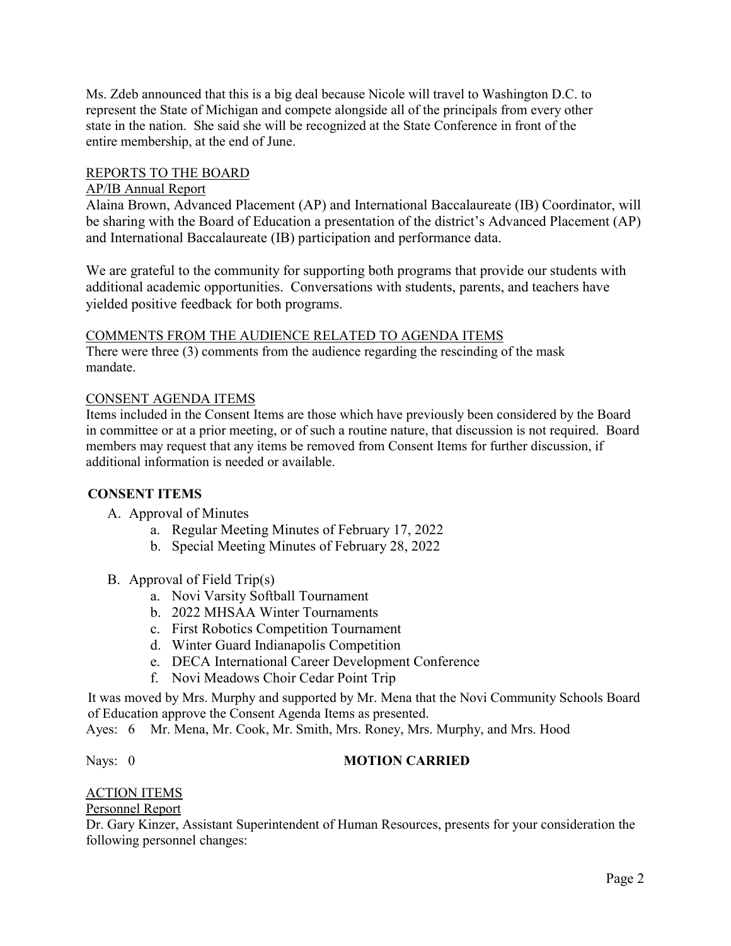Ms. Zdeb announced that this is a big deal because Nicole will travel to Washington D.C. to represent the State of Michigan and compete alongside all of the principals from every other state in the nation. She said she will be recognized at the State Conference in front of the entire membership, at the end of June.

## REPORTS TO THE BOARD

### AP/IB Annual Report

Alaina Brown, Advanced Placement (AP) and International Baccalaureate (IB) Coordinator, will be sharing with the Board of Education a presentation of the district's Advanced Placement (AP) and International Baccalaureate (IB) participation and performance data.

We are grateful to the community for supporting both programs that provide our students with additional academic opportunities. Conversations with students, parents, and teachers have yielded positive feedback for both programs.

#### COMMENTS FROM THE AUDIENCE RELATED TO AGENDA ITEMS

There were three (3) comments from the audience regarding the rescinding of the mask mandate.

#### CONSENT AGENDA ITEMS

Items included in the Consent Items are those which have previously been considered by the Board in committee or at a prior meeting, or of such a routine nature, that discussion is not required. Board members may request that any items be removed from Consent Items for further discussion, if additional information is needed or available.

## **CONSENT ITEMS**

- A. Approval of Minutes
	- a. Regular Meeting Minutes of February 17, 2022
	- b. Special Meeting Minutes of February 28, 2022
- B. Approval of Field Trip(s)
	- a. Novi Varsity Softball Tournament
	- b. 2022 MHSAA Winter Tournaments
	- c. First Robotics Competition Tournament
	- d. Winter Guard Indianapolis Competition
	- e. DECA International Career Development Conference
	- f. Novi Meadows Choir Cedar Point Trip

It was moved by Mrs. Murphy and supported by Mr. Mena that the Novi Community Schools Board of Education approve the Consent Agenda Items as presented.

Ayes: 6 Mr. Mena, Mr. Cook, Mr. Smith, Mrs. Roney, Mrs. Murphy, and Mrs. Hood

#### Nays: 0 **MOTION CARRIED**

# ACTION ITEMS

Personnel Report

Dr. Gary Kinzer, Assistant Superintendent of Human Resources, presents for your consideration the following personnel changes: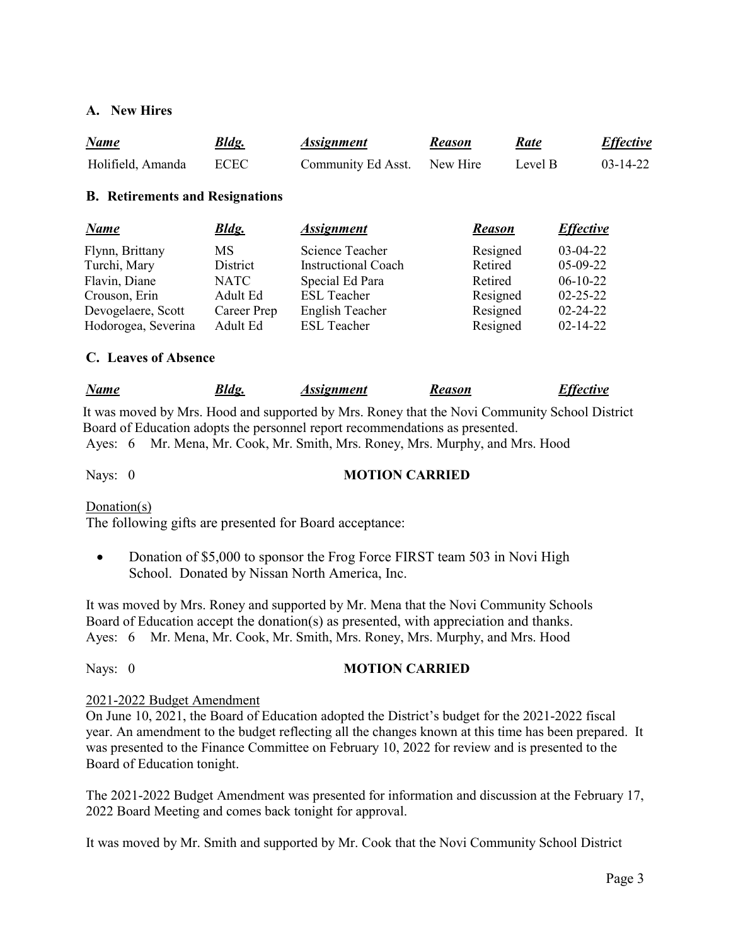# **A. New Hires**

| <b>Name</b>                            | <b>Bldg.</b> | <i><b>Assignment</b></i>   | <b>Reason</b> | <u>Rate</u> | <b>Effective</b> |
|----------------------------------------|--------------|----------------------------|---------------|-------------|------------------|
| Holifield, Amanda                      | <b>ECEC</b>  | Community Ed Asst.         | New Hire      | Level B     | $03 - 14 - 22$   |
| <b>B.</b> Retirements and Resignations |              |                            |               |             |                  |
| <b>Name</b>                            | <b>Bldg.</b> | <b>Assignment</b>          | <b>Reason</b> |             | <i>Effective</i> |
| Flynn, Brittany                        | <b>MS</b>    | Science Teacher            | Resigned      |             | $03-04-22$       |
| Turchi, Mary                           | District     | <b>Instructional Coach</b> | Retired       |             | $05-09-22$       |
| Flavin, Diane                          | <b>NATC</b>  | Special Ed Para            | Retired       |             | $06-10-22$       |
| Crouson, Erin                          | Adult Ed     | <b>ESL Teacher</b>         | Resigned      |             | $02 - 25 - 22$   |

## **C. Leaves of Absence**

| <b>Name</b> | <b>Bldg.</b><br>Assignment | <b>Reason</b> | <b>Effective</b> |
|-------------|----------------------------|---------------|------------------|
|-------------|----------------------------|---------------|------------------|

 Devogelaere, Scott Career Prep English Teacher Resigned 02-24-22 Hodorogea, Severina Adult Ed ESL Teacher Resigned 02-14-22

 It was moved by Mrs. Hood and supported by Mrs. Roney that the Novi Community School District Board of Education adopts the personnel report recommendations as presented. Ayes: 6 Mr. Mena, Mr. Cook, Mr. Smith, Mrs. Roney, Mrs. Murphy, and Mrs. Hood

## Nays: 0 **MOTION CARRIED**

Donation(s)

The following gifts are presented for Board acceptance:

• Donation of \$5,000 to sponsor the Frog Force FIRST team 503 in Novi High School. Donated by Nissan North America, Inc.

It was moved by Mrs. Roney and supported by Mr. Mena that the Novi Community Schools Board of Education accept the donation(s) as presented, with appreciation and thanks. Ayes: 6 Mr. Mena, Mr. Cook, Mr. Smith, Mrs. Roney, Mrs. Murphy, and Mrs. Hood

## Nays: 0 **MOTION CARRIED**

#### 2021-2022 Budget Amendment

On June 10, 2021, the Board of Education adopted the District's budget for the 2021-2022 fiscal year. An amendment to the budget reflecting all the changes known at this time has been prepared. It was presented to the Finance Committee on February 10, 2022 for review and is presented to the Board of Education tonight.

The 2021-2022 Budget Amendment was presented for information and discussion at the February 17, 2022 Board Meeting and comes back tonight for approval.

It was moved by Mr. Smith and supported by Mr. Cook that the Novi Community School District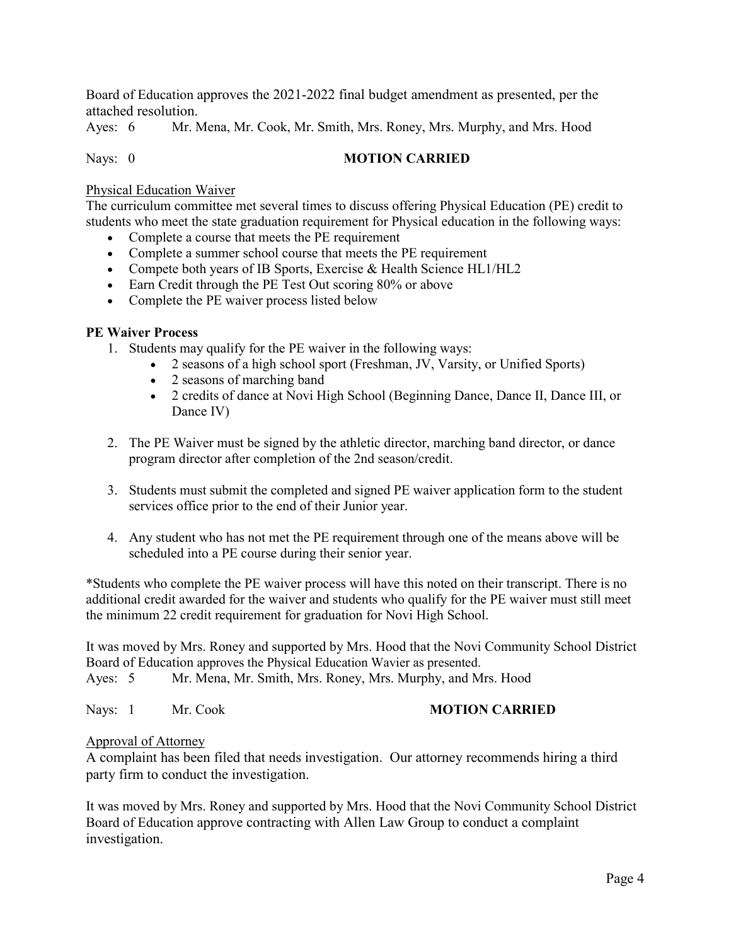Board of Education approves the 2021-2022 final budget amendment as presented, per the attached resolution.

Ayes: 6 Mr. Mena, Mr. Cook, Mr. Smith, Mrs. Roney, Mrs. Murphy, and Mrs. Hood

## Nays: 0 **MOTION CARRIED**

#### Physical Education Waiver

The curriculum committee met several times to discuss offering Physical Education (PE) credit to students who meet the state graduation requirement for Physical education in the following ways:

- Complete a course that meets the PE requirement
- Complete a summer school course that meets the PE requirement
- Compete both years of IB Sports, Exercise & Health Science HL1/HL2
- Earn Credit through the PE Test Out scoring 80% or above
- Complete the PE waiver process listed below

#### **PE Waiver Process**

- 1. Students may qualify for the PE waiver in the following ways:
	- 2 seasons of a high school sport (Freshman, JV, Varsity, or Unified Sports)
	- 2 seasons of marching band
	- 2 credits of dance at Novi High School (Beginning Dance, Dance II, Dance III, or Dance IV)
- 2. The PE Waiver must be signed by the athletic director, marching band director, or dance program director after completion of the 2nd season/credit.
- 3. Students must submit the completed and signed PE waiver application form to the student services office prior to the end of their Junior year.
- 4. Any student who has not met the PE requirement through one of the means above will be scheduled into a PE course during their senior year.

\*Students who complete the PE waiver process will have this noted on their transcript. There is no additional credit awarded for the waiver and students who qualify for the PE waiver must still meet the minimum 22 credit requirement for graduation for Novi High School.

It was moved by Mrs. Roney and supported by Mrs. Hood that the Novi Community School District Board of Education approves the Physical Education Wavier as presented.

Ayes: 5 Mr. Mena, Mr. Smith, Mrs. Roney, Mrs. Murphy, and Mrs. Hood

Nays: 1 Mr. Cook **MOTION CARRIED** 

#### Approval of Attorney

A complaint has been filed that needs investigation. Our attorney recommends hiring a third party firm to conduct the investigation.

It was moved by Mrs. Roney and supported by Mrs. Hood that the Novi Community School District Board of Education approve contracting with Allen Law Group to conduct a complaint investigation.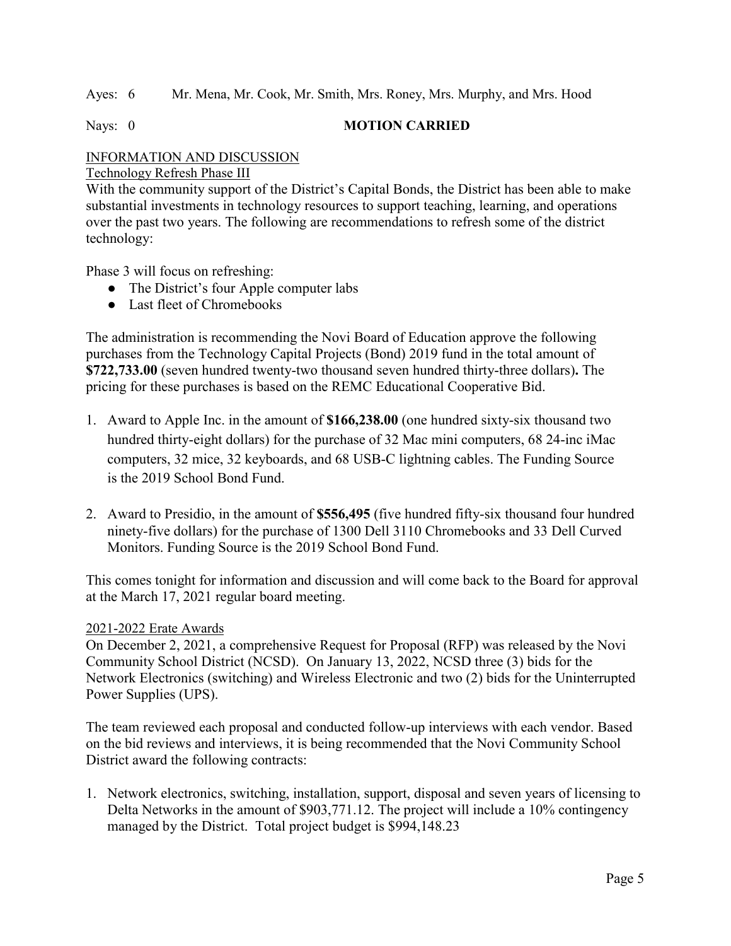Ayes: 6 Mr. Mena, Mr. Cook, Mr. Smith, Mrs. Roney, Mrs. Murphy, and Mrs. Hood

Nays: 0 **MOTION CARRIED** 

# INFORMATION AND DISCUSSION

Technology Refresh Phase III

With the community support of the District's Capital Bonds, the District has been able to make substantial investments in technology resources to support teaching, learning, and operations over the past two years. The following are recommendations to refresh some of the district technology:

Phase 3 will focus on refreshing:

- The District's four Apple computer labs
- Last fleet of Chromebooks

The administration is recommending the Novi Board of Education approve the following purchases from the Technology Capital Projects (Bond) 2019 fund in the total amount of **\$722,733.00** (seven hundred twenty-two thousand seven hundred thirty-three dollars)**.** The pricing for these purchases is based on the REMC Educational Cooperative Bid.

- 1. Award to Apple Inc. in the amount of **\$166,238.00** (one hundred sixty-six thousand two hundred thirty-eight dollars) for the purchase of 32 Mac mini computers, 68 24-inc iMac computers, 32 mice, 32 keyboards, and 68 USB-C lightning cables. The Funding Source is the 2019 School Bond Fund.
- 2. Award to Presidio, in the amount of **\$556,495** (five hundred fifty-six thousand four hundred ninety-five dollars) for the purchase of 1300 Dell 3110 Chromebooks and 33 Dell Curved Monitors. Funding Source is the 2019 School Bond Fund.

This comes tonight for information and discussion and will come back to the Board for approval at the March 17, 2021 regular board meeting.

## 2021-2022 Erate Awards

On December 2, 2021, a comprehensive Request for Proposal (RFP) was released by the Novi Community School District (NCSD). On January 13, 2022, NCSD three (3) bids for the Network Electronics (switching) and Wireless Electronic and two (2) bids for the Uninterrupted Power Supplies (UPS).

The team reviewed each proposal and conducted follow-up interviews with each vendor. Based on the bid reviews and interviews, it is being recommended that the Novi Community School District award the following contracts:

1. Network electronics, switching, installation, support, disposal and seven years of licensing to Delta Networks in the amount of \$903,771.12. The project will include a 10% contingency managed by the District. Total project budget is \$994,148.23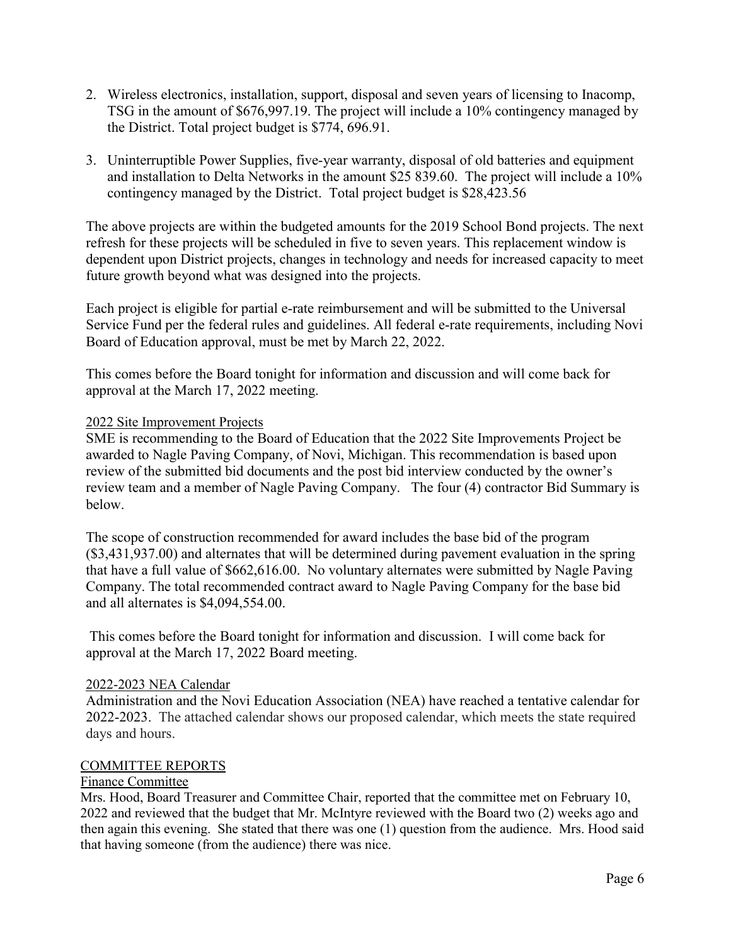- 2. Wireless electronics, installation, support, disposal and seven years of licensing to Inacomp, TSG in the amount of \$676,997.19. The project will include a 10% contingency managed by the District. Total project budget is \$774, 696.91.
- 3. Uninterruptible Power Supplies, five-year warranty, disposal of old batteries and equipment and installation to Delta Networks in the amount \$25 839.60. The project will include a 10% contingency managed by the District. Total project budget is \$28,423.56

The above projects are within the budgeted amounts for the 2019 School Bond projects. The next refresh for these projects will be scheduled in five to seven years. This replacement window is dependent upon District projects, changes in technology and needs for increased capacity to meet future growth beyond what was designed into the projects.

Each project is eligible for partial e-rate reimbursement and will be submitted to the Universal Service Fund per the federal rules and guidelines. All federal e-rate requirements, including Novi Board of Education approval, must be met by March 22, 2022.

This comes before the Board tonight for information and discussion and will come back for approval at the March 17, 2022 meeting.

## 2022 Site Improvement Projects

SME is recommending to the Board of Education that the 2022 Site Improvements Project be awarded to Nagle Paving Company, of Novi, Michigan. This recommendation is based upon review of the submitted bid documents and the post bid interview conducted by the owner's review team and a member of Nagle Paving Company. The four (4) contractor Bid Summary is below.

The scope of construction recommended for award includes the base bid of the program (\$3,431,937.00) and alternates that will be determined during pavement evaluation in the spring that have a full value of \$662,616.00. No voluntary alternates were submitted by Nagle Paving Company. The total recommended contract award to Nagle Paving Company for the base bid and all alternates is \$4,094,554.00.

This comes before the Board tonight for information and discussion. I will come back for approval at the March 17, 2022 Board meeting.

## 2022-2023 NEA Calendar

Administration and the Novi Education Association (NEA) have reached a tentative calendar for 2022-2023. The attached calendar shows our proposed calendar, which meets the state required days and hours.

## COMMITTEE REPORTS

#### Finance Committee

Mrs. Hood, Board Treasurer and Committee Chair, reported that the committee met on February 10, 2022 and reviewed that the budget that Mr. McIntyre reviewed with the Board two (2) weeks ago and then again this evening. She stated that there was one (1) question from the audience. Mrs. Hood said that having someone (from the audience) there was nice.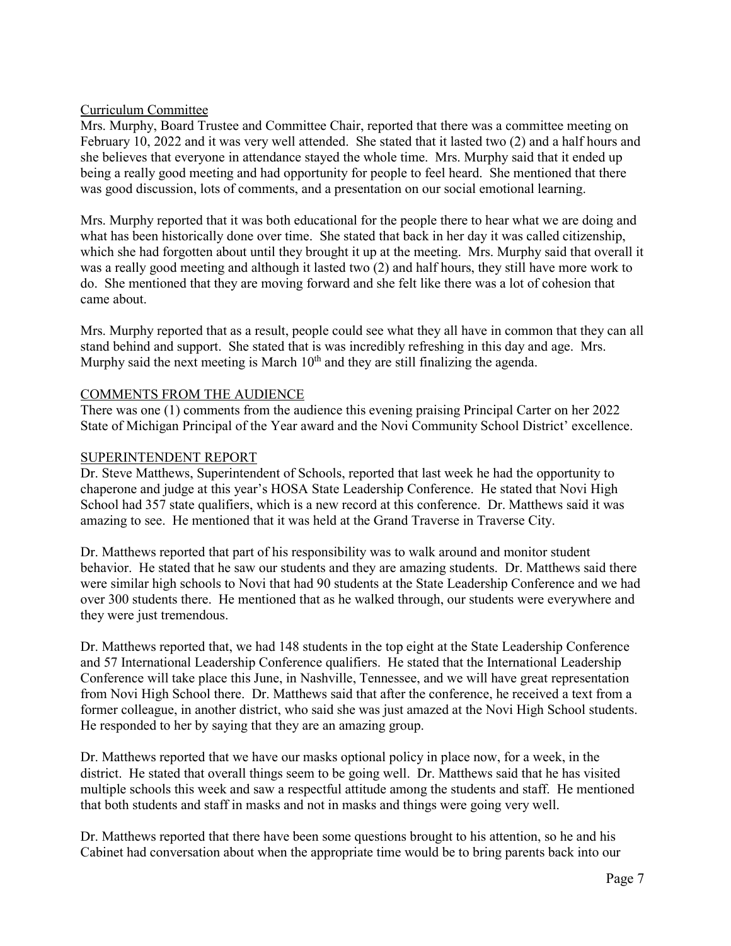## Curriculum Committee

Mrs. Murphy, Board Trustee and Committee Chair, reported that there was a committee meeting on February 10, 2022 and it was very well attended. She stated that it lasted two (2) and a half hours and she believes that everyone in attendance stayed the whole time. Mrs. Murphy said that it ended up being a really good meeting and had opportunity for people to feel heard. She mentioned that there was good discussion, lots of comments, and a presentation on our social emotional learning.

Mrs. Murphy reported that it was both educational for the people there to hear what we are doing and what has been historically done over time. She stated that back in her day it was called citizenship, which she had forgotten about until they brought it up at the meeting. Mrs. Murphy said that overall it was a really good meeting and although it lasted two (2) and half hours, they still have more work to do. She mentioned that they are moving forward and she felt like there was a lot of cohesion that came about.

Mrs. Murphy reported that as a result, people could see what they all have in common that they can all stand behind and support. She stated that is was incredibly refreshing in this day and age. Mrs. Murphy said the next meeting is March  $10<sup>th</sup>$  and they are still finalizing the agenda.

## COMMENTS FROM THE AUDIENCE

There was one (1) comments from the audience this evening praising Principal Carter on her 2022 State of Michigan Principal of the Year award and the Novi Community School District' excellence.

#### SUPERINTENDENT REPORT

Dr. Steve Matthews, Superintendent of Schools, reported that last week he had the opportunity to chaperone and judge at this year's HOSA State Leadership Conference. He stated that Novi High School had 357 state qualifiers, which is a new record at this conference. Dr. Matthews said it was amazing to see. He mentioned that it was held at the Grand Traverse in Traverse City.

Dr. Matthews reported that part of his responsibility was to walk around and monitor student behavior. He stated that he saw our students and they are amazing students. Dr. Matthews said there were similar high schools to Novi that had 90 students at the State Leadership Conference and we had over 300 students there. He mentioned that as he walked through, our students were everywhere and they were just tremendous.

Dr. Matthews reported that, we had 148 students in the top eight at the State Leadership Conference and 57 International Leadership Conference qualifiers. He stated that the International Leadership Conference will take place this June, in Nashville, Tennessee, and we will have great representation from Novi High School there. Dr. Matthews said that after the conference, he received a text from a former colleague, in another district, who said she was just amazed at the Novi High School students. He responded to her by saying that they are an amazing group.

Dr. Matthews reported that we have our masks optional policy in place now, for a week, in the district. He stated that overall things seem to be going well. Dr. Matthews said that he has visited multiple schools this week and saw a respectful attitude among the students and staff. He mentioned that both students and staff in masks and not in masks and things were going very well.

Dr. Matthews reported that there have been some questions brought to his attention, so he and his Cabinet had conversation about when the appropriate time would be to bring parents back into our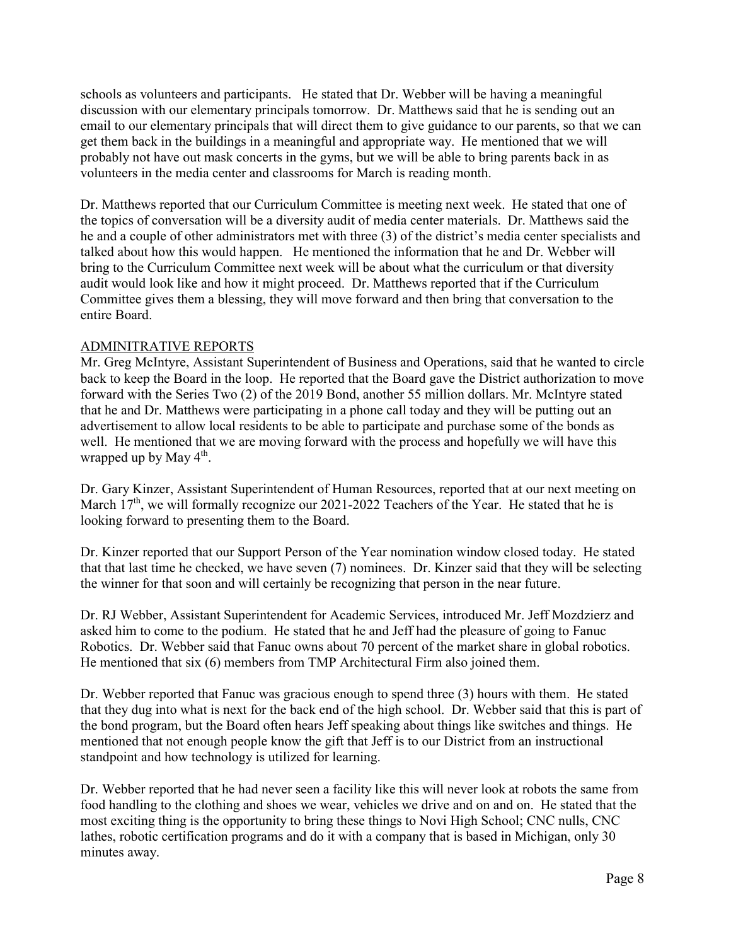schools as volunteers and participants. He stated that Dr. Webber will be having a meaningful discussion with our elementary principals tomorrow. Dr. Matthews said that he is sending out an email to our elementary principals that will direct them to give guidance to our parents, so that we can get them back in the buildings in a meaningful and appropriate way. He mentioned that we will probably not have out mask concerts in the gyms, but we will be able to bring parents back in as volunteers in the media center and classrooms for March is reading month.

Dr. Matthews reported that our Curriculum Committee is meeting next week. He stated that one of the topics of conversation will be a diversity audit of media center materials. Dr. Matthews said the he and a couple of other administrators met with three (3) of the district's media center specialists and talked about how this would happen. He mentioned the information that he and Dr. Webber will bring to the Curriculum Committee next week will be about what the curriculum or that diversity audit would look like and how it might proceed. Dr. Matthews reported that if the Curriculum Committee gives them a blessing, they will move forward and then bring that conversation to the entire Board.

## ADMINITRATIVE REPORTS

Mr. Greg McIntyre, Assistant Superintendent of Business and Operations, said that he wanted to circle back to keep the Board in the loop. He reported that the Board gave the District authorization to move forward with the Series Two (2) of the 2019 Bond, another 55 million dollars. Mr. McIntyre stated that he and Dr. Matthews were participating in a phone call today and they will be putting out an advertisement to allow local residents to be able to participate and purchase some of the bonds as well. He mentioned that we are moving forward with the process and hopefully we will have this wrapped up by May  $4<sup>th</sup>$ .

Dr. Gary Kinzer, Assistant Superintendent of Human Resources, reported that at our next meeting on March  $17<sup>th</sup>$ , we will formally recognize our 2021-2022 Teachers of the Year. He stated that he is looking forward to presenting them to the Board.

Dr. Kinzer reported that our Support Person of the Year nomination window closed today. He stated that that last time he checked, we have seven (7) nominees. Dr. Kinzer said that they will be selecting the winner for that soon and will certainly be recognizing that person in the near future.

Dr. RJ Webber, Assistant Superintendent for Academic Services, introduced Mr. Jeff Mozdzierz and asked him to come to the podium. He stated that he and Jeff had the pleasure of going to Fanuc Robotics. Dr. Webber said that Fanuc owns about 70 percent of the market share in global robotics. He mentioned that six (6) members from TMP Architectural Firm also joined them.

Dr. Webber reported that Fanuc was gracious enough to spend three (3) hours with them. He stated that they dug into what is next for the back end of the high school. Dr. Webber said that this is part of the bond program, but the Board often hears Jeff speaking about things like switches and things. He mentioned that not enough people know the gift that Jeff is to our District from an instructional standpoint and how technology is utilized for learning.

Dr. Webber reported that he had never seen a facility like this will never look at robots the same from food handling to the clothing and shoes we wear, vehicles we drive and on and on. He stated that the most exciting thing is the opportunity to bring these things to Novi High School; CNC nulls, CNC lathes, robotic certification programs and do it with a company that is based in Michigan, only 30 minutes away.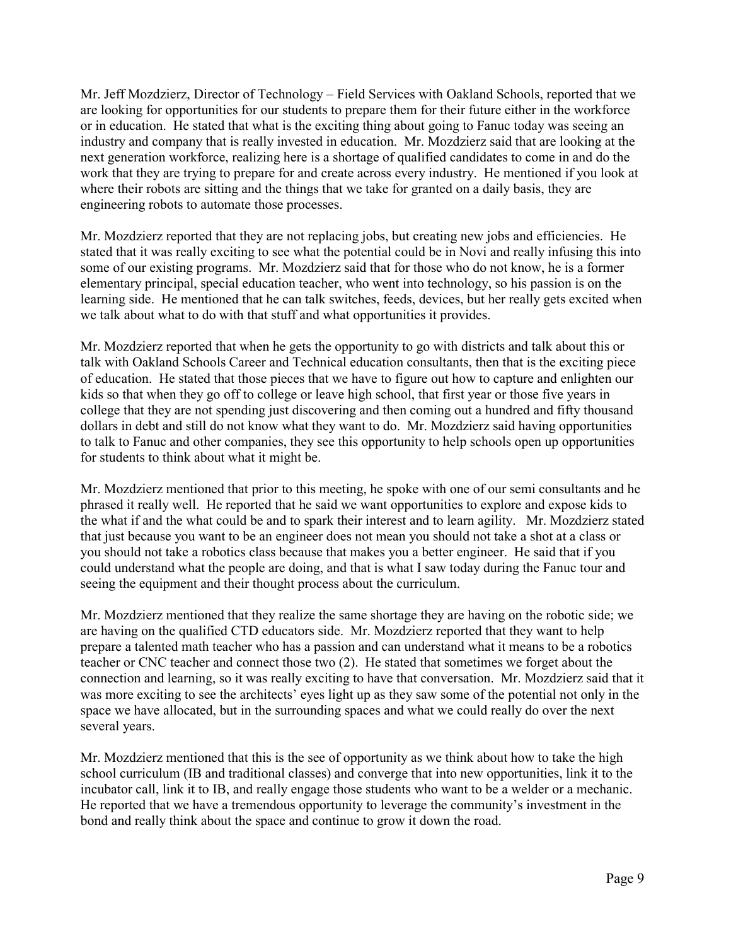Mr. Jeff Mozdzierz, Director of Technology – Field Services with Oakland Schools, reported that we are looking for opportunities for our students to prepare them for their future either in the workforce or in education. He stated that what is the exciting thing about going to Fanuc today was seeing an industry and company that is really invested in education. Mr. Mozdzierz said that are looking at the next generation workforce, realizing here is a shortage of qualified candidates to come in and do the work that they are trying to prepare for and create across every industry. He mentioned if you look at where their robots are sitting and the things that we take for granted on a daily basis, they are engineering robots to automate those processes.

Mr. Mozdzierz reported that they are not replacing jobs, but creating new jobs and efficiencies. He stated that it was really exciting to see what the potential could be in Novi and really infusing this into some of our existing programs. Mr. Mozdzierz said that for those who do not know, he is a former elementary principal, special education teacher, who went into technology, so his passion is on the learning side. He mentioned that he can talk switches, feeds, devices, but her really gets excited when we talk about what to do with that stuff and what opportunities it provides.

Mr. Mozdzierz reported that when he gets the opportunity to go with districts and talk about this or talk with Oakland Schools Career and Technical education consultants, then that is the exciting piece of education. He stated that those pieces that we have to figure out how to capture and enlighten our kids so that when they go off to college or leave high school, that first year or those five years in college that they are not spending just discovering and then coming out a hundred and fifty thousand dollars in debt and still do not know what they want to do. Mr. Mozdzierz said having opportunities to talk to Fanuc and other companies, they see this opportunity to help schools open up opportunities for students to think about what it might be.

Mr. Mozdzierz mentioned that prior to this meeting, he spoke with one of our semi consultants and he phrased it really well. He reported that he said we want opportunities to explore and expose kids to the what if and the what could be and to spark their interest and to learn agility. Mr. Mozdzierz stated that just because you want to be an engineer does not mean you should not take a shot at a class or you should not take a robotics class because that makes you a better engineer. He said that if you could understand what the people are doing, and that is what I saw today during the Fanuc tour and seeing the equipment and their thought process about the curriculum.

Mr. Mozdzierz mentioned that they realize the same shortage they are having on the robotic side; we are having on the qualified CTD educators side. Mr. Mozdzierz reported that they want to help prepare a talented math teacher who has a passion and can understand what it means to be a robotics teacher or CNC teacher and connect those two (2). He stated that sometimes we forget about the connection and learning, so it was really exciting to have that conversation. Mr. Mozdzierz said that it was more exciting to see the architects' eyes light up as they saw some of the potential not only in the space we have allocated, but in the surrounding spaces and what we could really do over the next several years.

Mr. Mozdzierz mentioned that this is the see of opportunity as we think about how to take the high school curriculum (IB and traditional classes) and converge that into new opportunities, link it to the incubator call, link it to IB, and really engage those students who want to be a welder or a mechanic. He reported that we have a tremendous opportunity to leverage the community's investment in the bond and really think about the space and continue to grow it down the road.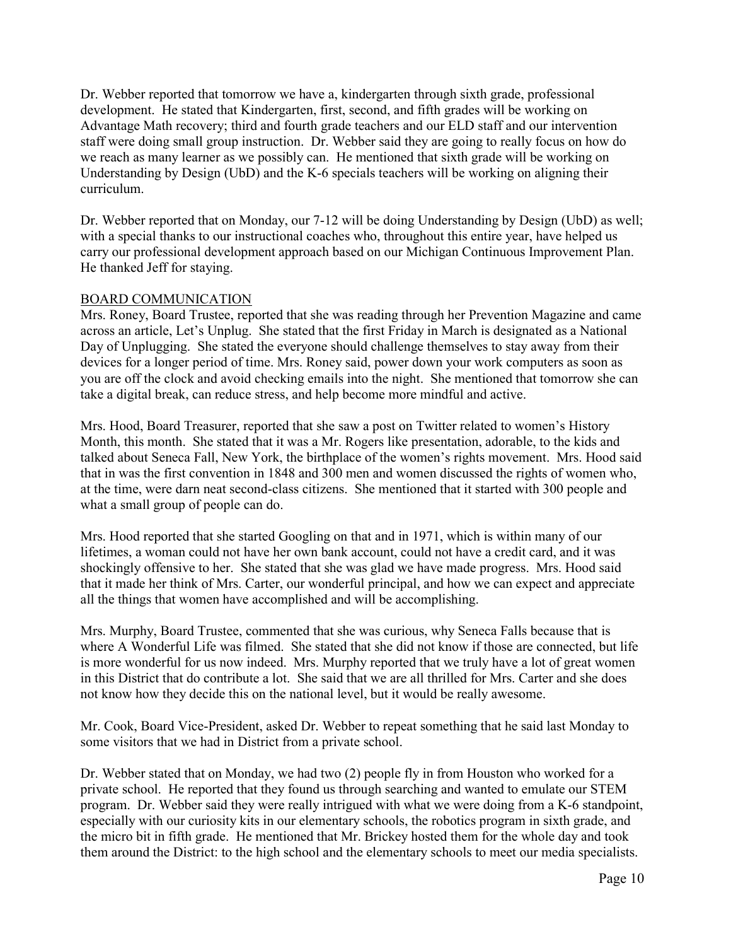Dr. Webber reported that tomorrow we have a, kindergarten through sixth grade, professional development. He stated that Kindergarten, first, second, and fifth grades will be working on Advantage Math recovery; third and fourth grade teachers and our ELD staff and our intervention staff were doing small group instruction. Dr. Webber said they are going to really focus on how do we reach as many learner as we possibly can. He mentioned that sixth grade will be working on Understanding by Design (UbD) and the K-6 specials teachers will be working on aligning their curriculum.

Dr. Webber reported that on Monday, our 7-12 will be doing Understanding by Design (UbD) as well; with a special thanks to our instructional coaches who, throughout this entire year, have helped us carry our professional development approach based on our Michigan Continuous Improvement Plan. He thanked Jeff for staying.

## BOARD COMMUNICATION

Mrs. Roney, Board Trustee, reported that she was reading through her Prevention Magazine and came across an article, Let's Unplug. She stated that the first Friday in March is designated as a National Day of Unplugging. She stated the everyone should challenge themselves to stay away from their devices for a longer period of time. Mrs. Roney said, power down your work computers as soon as you are off the clock and avoid checking emails into the night. She mentioned that tomorrow she can take a digital break, can reduce stress, and help become more mindful and active.

Mrs. Hood, Board Treasurer, reported that she saw a post on Twitter related to women's History Month, this month. She stated that it was a Mr. Rogers like presentation, adorable, to the kids and talked about Seneca Fall, New York, the birthplace of the women's rights movement. Mrs. Hood said that in was the first convention in 1848 and 300 men and women discussed the rights of women who, at the time, were darn neat second-class citizens. She mentioned that it started with 300 people and what a small group of people can do.

Mrs. Hood reported that she started Googling on that and in 1971, which is within many of our lifetimes, a woman could not have her own bank account, could not have a credit card, and it was shockingly offensive to her. She stated that she was glad we have made progress. Mrs. Hood said that it made her think of Mrs. Carter, our wonderful principal, and how we can expect and appreciate all the things that women have accomplished and will be accomplishing.

Mrs. Murphy, Board Trustee, commented that she was curious, why Seneca Falls because that is where A Wonderful Life was filmed. She stated that she did not know if those are connected, but life is more wonderful for us now indeed. Mrs. Murphy reported that we truly have a lot of great women in this District that do contribute a lot. She said that we are all thrilled for Mrs. Carter and she does not know how they decide this on the national level, but it would be really awesome.

Mr. Cook, Board Vice-President, asked Dr. Webber to repeat something that he said last Monday to some visitors that we had in District from a private school.

Dr. Webber stated that on Monday, we had two (2) people fly in from Houston who worked for a private school. He reported that they found us through searching and wanted to emulate our STEM program. Dr. Webber said they were really intrigued with what we were doing from a K-6 standpoint, especially with our curiosity kits in our elementary schools, the robotics program in sixth grade, and the micro bit in fifth grade. He mentioned that Mr. Brickey hosted them for the whole day and took them around the District: to the high school and the elementary schools to meet our media specialists.